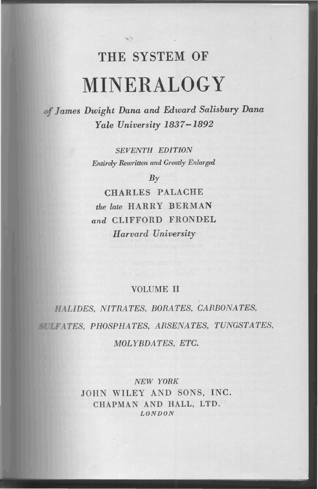# THE SYSTEM OF MINERALOGY

*James Dwight Dana and Edward Salisbury Dana Yale University 1837-1892*

> *SEVENTH EDITION Entirely Rewritten and Greatly Enlarged*

> > *By*

CHARLES PALACHE *the late* HARRY BERMAN *and* CLIFFORD FRONDEL *IIarvard University*

# VOLUME II

*LIDES, NITRATES, BORATES, CARBONATES, TES, PHOSPHATES, ARSENATES, TU1VGSTATES,*  $MOLYBDATES, ETC.$ 

> *NEW YORK* JOHN WILEY AND SONS, INC. CHAPMAN AND HALL, LTD. *LONDON*